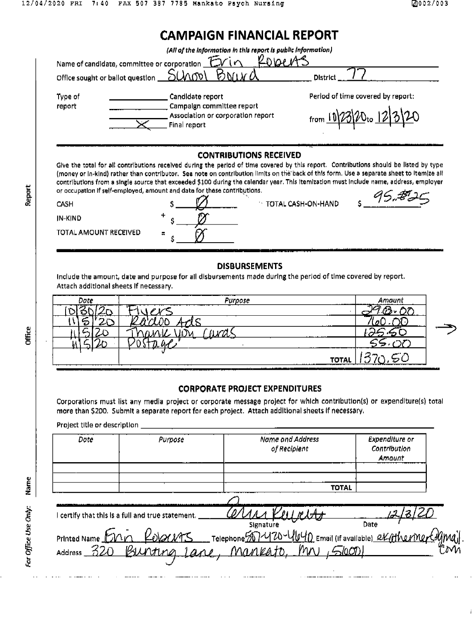| Office sought or ballot question _ | Name of candidate, committee or corporation <b>FVin</b><br>5000                                                                                                                                                                                                                                                                                                                                                                                                                                                                            | <b>District</b>                   |
|------------------------------------|--------------------------------------------------------------------------------------------------------------------------------------------------------------------------------------------------------------------------------------------------------------------------------------------------------------------------------------------------------------------------------------------------------------------------------------------------------------------------------------------------------------------------------------------|-----------------------------------|
| Type of<br>report                  | Candidate report<br>Campaign committee report<br>Association or corporation report<br>Final report                                                                                                                                                                                                                                                                                                                                                                                                                                         | Period of time covered by report: |
|                                    |                                                                                                                                                                                                                                                                                                                                                                                                                                                                                                                                            |                                   |
|                                    | <b>CONTRIBUTIONS RECEIVED</b><br>Give the total for all contributions received during the period of time covered by this report. Contributions should be listed by type<br>(money or In-kind) rather than contributor. See note on contribution limits on the back of this form. Use a separate sheet to itemize all<br>contributions from a single source that exceeded \$100 during the calendar year. This itemization must include name, address, employer<br>or occupation if self-employed, amount and date for these contributions. |                                   |
| CASH                               |                                                                                                                                                                                                                                                                                                                                                                                                                                                                                                                                            | TOTAL CASH-ON-HAND                |
| IN-KIND                            |                                                                                                                                                                                                                                                                                                                                                                                                                                                                                                                                            |                                   |

## **DISBURSEMENTS**

Include the amount, date and purpose for all disbursements made during the period of time covered by report. Attach additional sheets if necessary.

| Date | Purpose<br>--------               | Amar |  |
|------|-----------------------------------|------|--|
|      |                                   |      |  |
| I    |                                   |      |  |
|      |                                   |      |  |
|      | --<br>-                           |      |  |
| __   | TOTAI<br>. <b>.</b><br>__________ |      |  |

## **CORPORATE PROJECT EXPENDITURES**

Corporations must list any media project or corporate message project for which contribution(s) or expenditure(s) total more than \$200. Submit a separate report for each project. Attach additional sheets if necessary.

Project title or description \_\_

| Date             | Purpose                                         | Name and Address<br>of Recipient                                                               | Expenditure or<br>Contribution<br>Amount |
|------------------|-------------------------------------------------|------------------------------------------------------------------------------------------------|------------------------------------------|
|                  |                                                 | <b>TOTAL</b>                                                                                   |                                          |
|                  | certify that this is a full and true statement. |                                                                                                |                                          |
| Printed Name Mnn | <u> Kolarins</u>                                | Signature<br>Signature Date<br>__Telephone 507470-4040 Email (If available) exathering Come __ | Date                                     |
| Address $-320$   | Burting<br>$1$ are                              | Mankato Mn<br><u> SloODI</u>                                                                   |                                          |